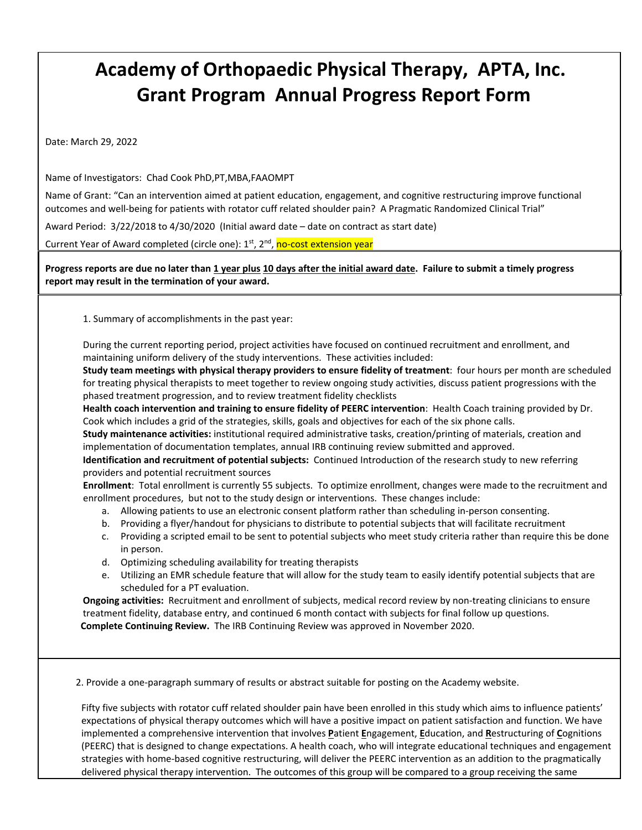## **Academy of Orthopaedic Physical Therapy, APTA, Inc. Grant Program Annual Progress Report Form**

Date: March 29, 2022

Name of Investigators: Chad Cook PhD,PT,MBA,FAAOMPT

Name of Grant: "Can an intervention aimed at patient education, engagement, and cognitive restructuring improve functional outcomes and well‐being for patients with rotator cuff related shoulder pain? A Pragmatic Randomized Clinical Trial"

Award Period: 3/22/2018 to 4/30/2020 (Initial award date – date on contract as start date)

Current Year of Award completed (circle one): 1<sup>st</sup>, 2<sup>nd</sup>, no-cost extension year

Progress reports are due no later than 1 year plus 10 days after the initial award date. Failure to submit a timely progress **report may result in the termination of your award.** 

1. Summary of accomplishments in the past year:

During the current reporting period, project activities have focused on continued recruitment and enrollment, and maintaining uniform delivery of the study interventions.These activities included:

**Study team meetings with physical therapy providers to ensure fidelity of treatment**: four hours per month are scheduled for treating physical therapists to meet together to review ongoing study activities, discuss patient progressions with the phased treatment progression, and to review treatment fidelity checklists

**Health coach intervention and training to ensure fidelity of PEERC intervention**: Health Coach training provided by Dr. Cook which includes a grid of the strategies, skills, goals and objectives for each of the six phone calls.

**Study maintenance activities:** institutional required administrative tasks, creation/printing of materials, creation and implementation of documentation templates, annual IRB continuing review submitted and approved.

**Identification and recruitment of potential subjects:** Continued Introduction of the research study to new referring providers and potential recruitment sources

 **Enrollment**: Total enrollment is currently 55 subjects. To optimize enrollment, changes were made to the recruitment and enrollment procedures, but not to the study design or interventions. These changes include:

- a. Allowing patients to use an electronic consent platform rather than scheduling in‐person consenting.
- b. Providing a flyer/handout for physicians to distribute to potential subjects that will facilitate recruitment
- c. Providing a scripted email to be sent to potential subjects who meet study criteria rather than require this be done in person.
- d. Optimizing scheduling availability for treating therapists
- e. Utilizing an EMR schedule feature that will allow for the study team to easily identify potential subjects that are scheduled for a PT evaluation.

**Ongoing activities:** Recruitment and enrollment of subjects, medical record review by non‐treating clinicians to ensure treatment fidelity, database entry, and continued 6 month contact with subjects for final follow up questions.  **Complete Continuing Review.** The IRB Continuing Review was approved in November 2020.

2. Provide a one‐paragraph summary of results or abstract suitable for posting on the Academy website.

Fifty five subjects with rotator cuff related shoulder pain have been enrolled in this study which aims to influence patients' expectations of physical therapy outcomes which will have a positive impact on patient satisfaction and function. We have implemented a comprehensive intervention that involves **P**atient **E**ngagement, **E**ducation, and **R**estructuring of **C**ognitions (PEERC) that is designed to change expectations. A health coach, who will integrate educational techniques and engagement strategies with home‐based cognitive restructuring, will deliver the PEERC intervention as an addition to the pragmatically delivered physical therapy intervention. The outcomes of this group will be compared to a group receiving the same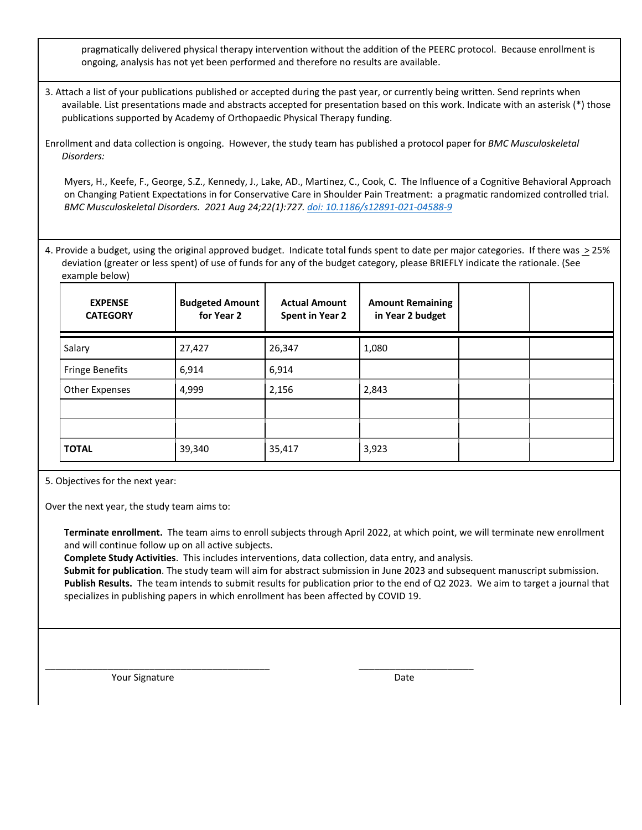pragmatically delivered physical therapy intervention without the addition of the PEERC protocol. Because enrollment is ongoing, analysis has not yet been performed and therefore no results are available.

3. Attach a list of your publications published or accepted during the past year, or currently being written. Send reprints when available. List presentations made and abstracts accepted for presentation based on this work. Indicate with an asterisk (\*) those publications supported by Academy of Orthopaedic Physical Therapy funding.

Enrollment and data collection is ongoing. However, the study team has published a protocol paper for *BMC Musculoskeletal Disorders:*

Myers, H., Keefe, F., George, S.Z., Kennedy, J., Lake, AD., Martinez, C., Cook, C. The Influence of a Cognitive Behavioral Approach on Changing Patient Expectations in for Conservative Care in Shoulder Pain Treatment: a pragmatic randomized controlled trial. *BMC Musculoskeletal Disorders. 2021 Aug 24;22(1):727. doi: 10.1186/s12891‐021‐04588‐9*

4. Provide a budget, using the original approved budget. Indicate total funds spent to date per major categories. If there was  $\geq$  25% deviation (greater or less spent) of use of funds for any of the budget category, please BRIEFLY indicate the rationale. (See example below)

| <b>EXPENSE</b><br><b>CATEGORY</b> | <b>Budgeted Amount</b><br>for Year 2 | <b>Actual Amount</b><br><b>Spent in Year 2</b> | <b>Amount Remaining</b><br>in Year 2 budget |  |
|-----------------------------------|--------------------------------------|------------------------------------------------|---------------------------------------------|--|
| Salary                            | 27,427                               | 26,347                                         | 1,080                                       |  |
| <b>Fringe Benefits</b>            | 6,914                                | 6,914                                          |                                             |  |
| <b>Other Expenses</b>             | 4,999                                | 2,156                                          | 2,843                                       |  |
|                                   |                                      |                                                |                                             |  |
|                                   |                                      |                                                |                                             |  |
| <b>TOTAL</b>                      | 39,340                               | 35,417                                         | 3,923                                       |  |

5. Objectives for the next year:

Over the next year, the study team aims to:

**Terminate enrollment.** The team aims to enroll subjects through April 2022, at which point, we will terminate new enrollment and will continue follow up on all active subjects.

**Complete Study Activities**. This includes interventions, data collection, data entry, and analysis.

\_\_\_\_\_\_\_\_\_\_\_\_\_\_\_\_\_\_\_\_\_\_\_\_\_\_\_\_\_\_\_\_\_\_\_\_\_\_\_\_\_\_\_ \_\_\_\_\_\_\_\_\_\_\_\_\_\_\_\_\_\_\_\_\_\_

**Submit for publication**. The study team will aim for abstract submission in June 2023 and subsequent manuscript submission. Publish Results. The team intends to submit results for publication prior to the end of Q2 2023. We aim to target a journal that specializes in publishing papers in which enrollment has been affected by COVID 19.

Your Signature **Date**